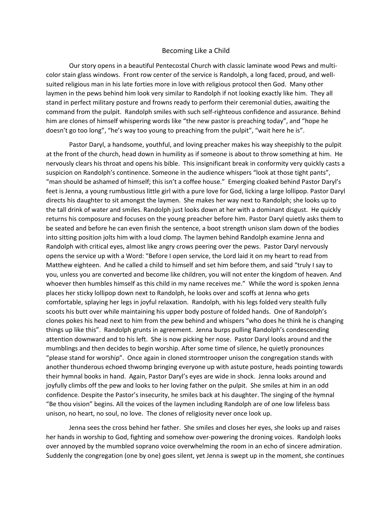## Becoming Like a Child

Our story opens in a beautiful Pentecostal Church with classic laminate wood Pews and multicolor stain glass windows. Front row center of the service is Randolph, a long faced, proud, and wellsuited religious man in his late forties more in love with religious protocol then God. Many other laymen in the pews behind him look very similar to Randolph if not looking exactly like him. They all stand in perfect military posture and frowns ready to perform their ceremonial duties, awaiting the command from the pulpit. Randolph smiles with such self-righteous confidence and assurance. Behind him are clones of himself whispering words like "the new pastor is preaching today", and "hope he doesn't go too long", "he's way too young to preaching from the pulpit", "wait here he is".

Pastor Daryl, a handsome, youthful, and loving preacher makes his way sheepishly to the pulpit at the front of the church, head down in humility as if someone is about to throw something at him. He nervously clears his throat and opens his bible. This insignificant break in conformity very quickly casts a suspicion on Randolph's continence. Someone in the audience whispers "look at those tight pants", "man should be ashamed of himself; this isn't a coffee house." Emerging cloaked behind Pastor Daryl's feet is Jenna, a young rumbustious little girl with a pure love for God, licking a large lollipop. Pastor Daryl directs his daughter to sit amongst the laymen. She makes her way next to Randolph; she looks up to the tall drink of water and smiles. Randolph just looks down at her with a dominant disgust. He quickly returns his composure and focuses on the young preacher before him. Pastor Daryl quietly asks them to be seated and before he can even finish the sentence, a boot strength unison slam down of the bodies into sitting position jolts him with a loud clomp. The laymen behind Randolph examine Jenna and Randolph with critical eyes, almost like angry crows peering over the pews. Pastor Daryl nervously opens the service up with a Word: "Before I open service, the Lord laid it on my heart to read from Matthew eighteen. And he called a child to himself and set him before them, and said "truly I say to you, unless you are converted and become like children, you will not enter the kingdom of heaven. And whoever then humbles himself as this child in my name receives me." While the word is spoken Jenna places her sticky lollipop down next to Randolph, he looks over and scoffs at Jenna who gets comfortable, splaying her legs in joyful relaxation. Randolph, with his legs folded very stealth fully scoots his butt over while maintaining his upper body posture of folded hands. One of Randolph's clones pokes his head next to him from the pew behind and whispers "who does he think he is changing things up like this". Randolph grunts in agreement. Jenna burps pulling Randolph's condescending attention downward and to his left. She is now picking her nose. Pastor Daryl looks around and the mumblings and then decides to begin worship. After some time of silence, he quietly pronounces "please stand for worship". Once again in cloned stormtrooper unison the congregation stands with another thunderous echoed thwomp bringing everyone up with astute posture, heads pointing towards their hymnal books in hand. Again, Pastor Daryl's eyes are wide in shock. Jenna looks around and joyfully climbs off the pew and looks to her loving father on the pulpit. She smiles at him in an odd confidence. Despite the Pastor's insecurity, he smiles back at his daughter. The singing of the hymnal "Be thou vision" begins. All the voices of the laymen including Randolph are of one low lifeless bass unison, no heart, no soul, no love. The clones of religiosity never once look up.

Jenna sees the cross behind her father. She smiles and closes her eyes, she looks up and raises her hands in worship to God, fighting and somehow over-powering the droning voices. Randolph looks over annoyed by the mumbled soprano voice overwhelming the room in an echo of sincere admiration. Suddenly the congregation (one by one) goes silent, yet Jenna is swept up in the moment, she continues